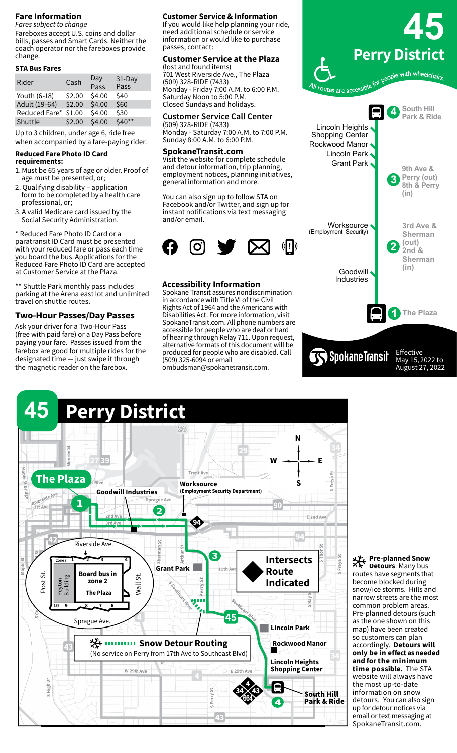### **Fare Information**

*Fares subject to change* Fareboxes accept U.S. coins and dollar bills, passes and Smart Cards. Neither the coach operator nor the fareboxes provide change.

#### **STA Bus Fares**

| Rider         | Cash   | Day<br>Pass | 31-Day<br>Pass |
|---------------|--------|-------------|----------------|
| Youth (6-18)  | \$2.00 | \$4.00      | \$40           |
| Adult (19-64) | \$2.00 | \$4.00      | \$60           |
| Reduced Fare* | \$1.00 | \$4.00      | \$30           |
| Shuttle       | \$2.00 | \$4.00      | \$40**         |
|               |        |             |                |

Up to 3 children, under age 6, ride free when accompanied by a fare-paying rider.

# **Reduced Fare Photo ID Card**

- **requirements:**
- 1. Must be 65 years of age or older. Proof of age must be presented, or;
- 2. Qualifying disability application form to be completed by a health care professional, or;
- 3. A valid Medicare card issued by the Social Security Administration.

\* Reduced Fare Photo ID Card or a paratransit ID Card must be presented with your reduced fare or pass each time you board the bus. Applications for the Reduced Fare Photo ID Card are accepted at Customer Service at the Plaza. 

\*\* Shuttle Park monthly pass includes parking at the Arena east lot and unlimited travel on shuttle routes.

### **Two-Hour Passes/Day Passes**

Ask your driver for a Two-Hour Pass (free with paid fare) or a Day Pass before paying your fare.  Passes issued from the farebox are good for multiple rides for the designated time — just swipe it through the magnetic reader on the farebox.

#### **Customer Service & Information**

If you would like help planning your ride, need additional schedule or service information or would like to purchase passes, contact:

#### **Customer Service at the Plaza** (lost and found items)

701 West Riverside Ave., The Plaza (509) 328-RIDE (7433) Monday - Friday 7:00 A.M. to 6:00 P.M. Saturday Noon to 5:00 P.M. Closed Sundays and holidays.

#### **Customer Service Call Center**

(509) 328-RIDE (7433) Monday - Saturday 7:00 A.M. to 7:00 P.M. Sunday 8:00 A.M. to 6:00 P.M.

#### **SpokaneTransit.com**

Visit the website for complete schedule and detour information, trip planning, employment notices, planning initiatives, general information and more.

You can also sign up to follow STA on Facebook and/or Twitter, and sign up for instant notifications via text messaging and/or email.



### **Accessibility Information**

Spokane Transit assures nondiscrimination in accordance with Title VI of the Civil Rights Act of 1964 and the Americans with Disabilities Act. For more information, visit SpokaneTransit.com. All phone numbers are accessible for people who are deaf or hard of hearing through Relay 711. Upon request, alternative formats of this document will be produced for people who are disabled. Call (509) 325-6094 or email

ombudsman@spokanetransit.com.





#### **Pre-planned Snow Detours**: Many bus routes have segments that become blocked during snow/ice storms. Hills and narrow streets are the most common problem areas. Pre-planned detours (such as the one shown on this map) have been created so customers can plan accordingly. **Detours will only be in effect as needed and for the minimum time possible.** The STA website will always have the most up-to-date information on snow detours. You can also sign up for detour notices via email or text messaging at SpokaneTransit.com.